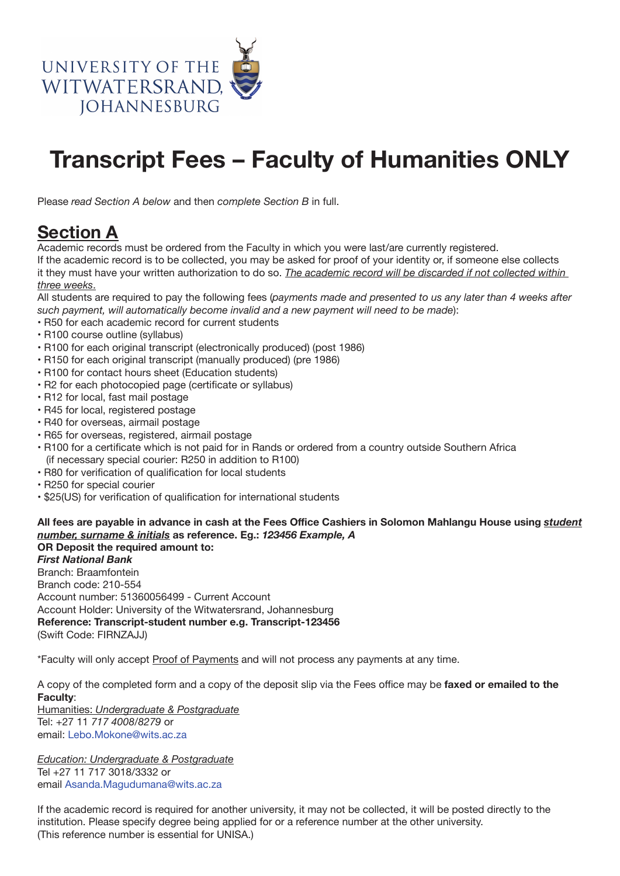

## **Transcript Fees – Faculty of Humanities ONLY**

Please *read Section A below* and then *complete Section B* in full.

## **Section A**

Academic records must be ordered from the Faculty in which you were last/are currently registered. If the academic record is to be collected, you may be asked for proof of your identity or, if someone else collects it they must have your written authorization to do so. *The academic record will be discarded if not collected within three weeks*.

All students are required to pay the following fees (*payments made and presented to us any later than 4 weeks after such payment, will automatically become invalid and a new payment will need to be made*):

- R50 for each academic record for current students
- R100 course outline (syllabus)
- R100 for each original transcript (electronically produced) (post 1986)
- R150 for each original transcript (manually produced) (pre 1986)
- R100 for contact hours sheet (Education students)
- R2 for each photocopied page (certificate or syllabus)
- R12 for local, fast mail postage
- R45 for local, registered postage
- R40 for overseas, airmail postage
- R65 for overseas, registered, airmail postage
- R100 for a certificate which is not paid for in Rands or ordered from a country outside Southern Africa (if necessary special courier: R250 in addition to R100)
- R80 for verification of qualification for local students
- R250 for special courier
- \$25(US) for verification of qualification for international students

## All fees are payable in advance in cash at the Fees Office Cashiers in Solomon Mahlangu House using *student number, surname & initials* **as reference. Eg.:** *123456 Example, A* **OR Deposit the required amount to:**

*First National Bank*

Branch: Braamfontein Branch code: 210-554 Account number: 51360056499 - Current Account Account Holder: University of the Witwatersrand, Johannesburg **Reference: Transcript-student number e.g. Transcript-123456** (Swift Code: FIRNZAJJ)

\*Faculty will only accept Proof of Payments and will not process any payments at any time.

A copy of the completed form and a copy of the deposit slip via the Fees office may be faxed or emailed to the **Faculty**:

Humanities: *Undergraduate & Postgraduate* Tel: +27 11 *717 4008/8279* or email: Lebo.Mokone@wits.ac.za

*Education: Undergraduate & Postgraduate* Tel +27 11 717 3018/3332 or email Asanda.Magudumana@wits.ac.za

If the academic record is required for another university, it may not be collected, it will be posted directly to the institution. Please specify degree being applied for or a reference number at the other university. (This reference number is essential for UNISA.)